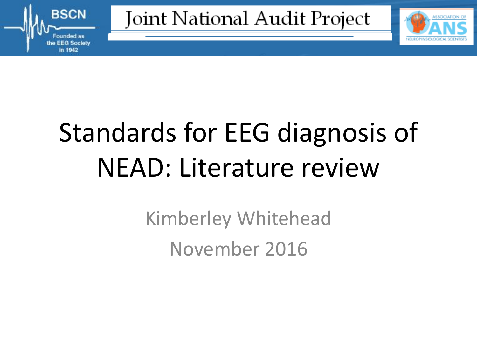

Joint National Audit Project



# Standards for EEG diagnosis of NEAD: Literature review

Kimberley Whitehead November 2016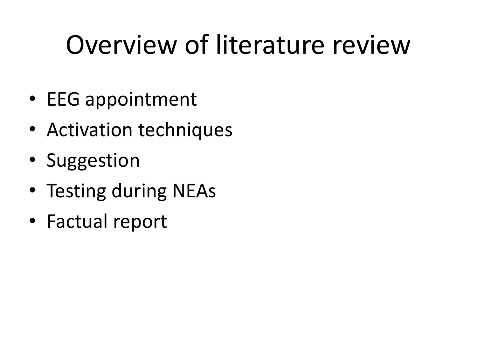### Overview of literature review

- EEG appointment
- Activation techniques
- Suggestion
- Testing during NEAs
- Factual report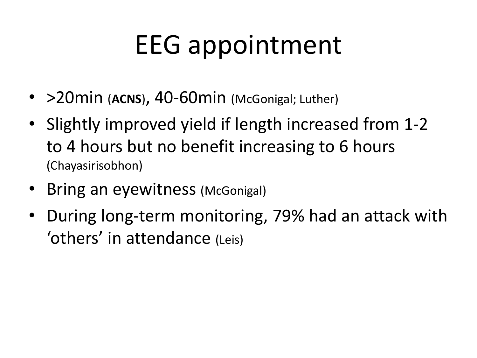# EEG appointment

- > 20 min (ACNS), 40-60 min (McGonigal; Luther)
- Slightly improved yield if length increased from 1-2 to 4 hours but no benefit increasing to 6 hours (Chayasirisobhon)
- Bring an eyewitness (McGonigal)
- During long-term monitoring, 79% had an attack with 'others' in attendance (Leis)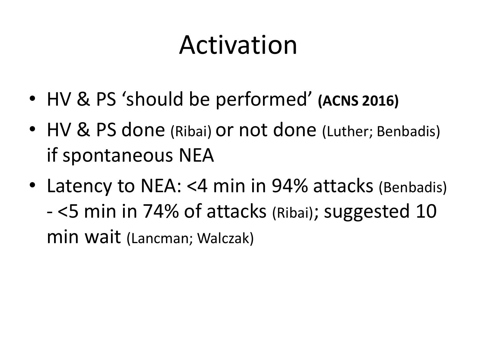#### Activation

- HV & PS 'should be performed' **(ACNS 2016)**
- HV & PS done (Ribai) or not done (Luther; Benbadis) if spontaneous NEA
- Latency to NEA: <4 min in 94% attacks (Benbadis) - <5 min in 74% of attacks (Ribai); suggested 10 min wait (Lancman; Walczak)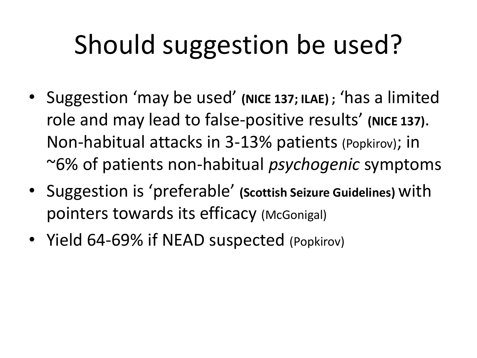# Should suggestion be used?

- Suggestion 'may be used' **(NICE 137; ILAE) ;** 'has a limited role and may lead to false-positive results' (NICE 137). Non-habitual attacks in 3-13% patients (Popkirov); in ~6% of patients non-habitual *psychogenic* symptoms
- Suggestion is 'preferable' **(Scottish Seizure Guidelines)** with pointers towards its efficacy (McGonigal)
- Yield 64-69% if NEAD suspected (Popkirov)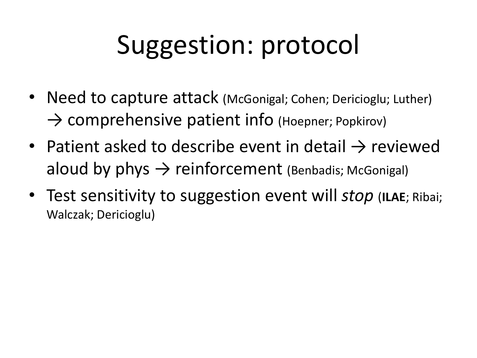# Suggestion: protocol

- Need to capture attack (McGonigal; Cohen; Dericioglu; Luther)  $\rightarrow$  comprehensive patient info (Hoepner; Popkirov)
- Patient asked to describe event in detail  $\rightarrow$  reviewed aloud by phys  $\rightarrow$  reinforcement (Benbadis; McGonigal)
- Test sensitivity to suggestion event will *stop* (ILAE; Ribai; Walczak; Dericioglu)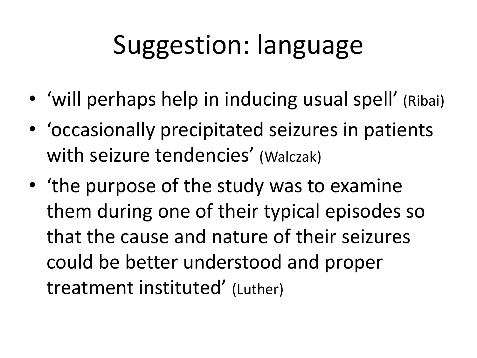### Suggestion: language

- 'will perhaps help in inducing usual spell' (Ribai)
- 'occasionally precipitated seizures in patients with seizure tendencies' (Walczak)
- 'the purpose of the study was to examine them during one of their typical episodes so that the cause and nature of their seizures could be better understood and proper treatment instituted' (Luther)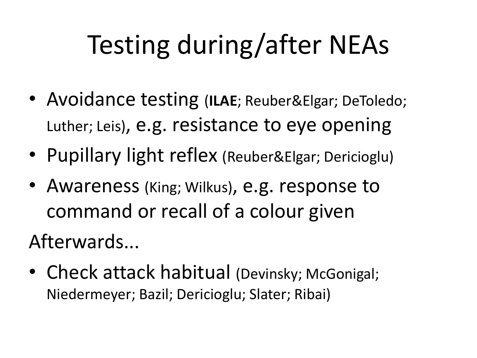# Testing during/after NEAs

- Avoidance testing (**ILAE**; Reuber&Elgar; DeToledo; Luther; Leis), e.g. resistance to eye opening
- Pupillary light reflex (Reuber&Elgar; Dericioglu)
- Awareness (King; Wilkus), e.g. response to command or recall of a colour given

Afterwards...

• Check attack habitual (Devinsky; McGonigal; Niedermeyer; Bazil; Dericioglu; Slater; Ribai)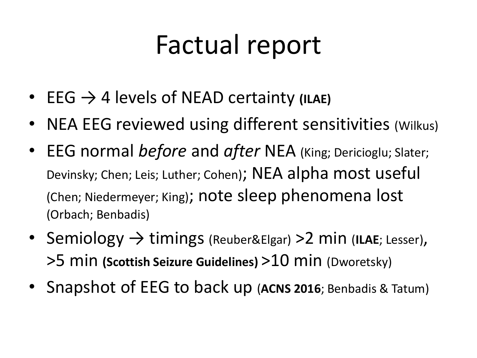#### Factual report

- EEG → 4 levels of NEAD certainty **(ILAE)**
- NEA EEG reviewed using different sensitivities (Wilkus)
- EEG normal *before* and *after* NEA (King; Dericioglu; Slater; Devinsky; Chen; Leis; Luther; Cohen); NEA alpha most useful (Chen; Niedermeyer; King); note sleep phenomena lost (Orbach; Benbadis)
- Semiology → timings (Reuber&Elgar) >2 min (**ILAE**; Lesser), >5 min **(Scottish Seizure Guidelines)** >10 min (Dworetsky)
- Snapshot of EEG to back up (**ACNS 2016**; Benbadis & Tatum)